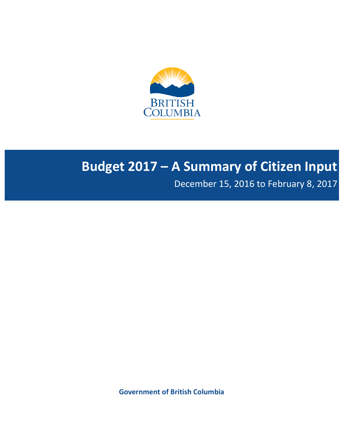

# **Budget 2017 - A Summary of Citizen Input**

December 15, 2016 to February 8, 2017

**Government of British Columbia**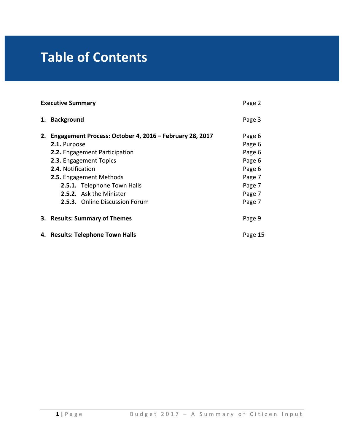# **Table of Contents**

|    | <b>Executive Summary</b><br>Page 2                                                                                                                                                                                                                                                                         |                                                                                        |  |
|----|------------------------------------------------------------------------------------------------------------------------------------------------------------------------------------------------------------------------------------------------------------------------------------------------------------|----------------------------------------------------------------------------------------|--|
| 1. | <b>Background</b>                                                                                                                                                                                                                                                                                          | Page 3                                                                                 |  |
| 2. | Engagement Process: October 4, 2016 – February 28, 2017<br>2.1. Purpose<br><b>2.2.</b> Engagement Participation<br>2.3. Engagement Topics<br>2.4. Notification<br><b>2.5.</b> Engagement Methods<br>2.5.1. Telephone Town Halls<br><b>2.5.2.</b> Ask the Minister<br><b>2.5.3.</b> Online Discussion Forum | Page 6<br>Page 6<br>Page 6<br>Page 6<br>Page 6<br>Page 7<br>Page 7<br>Page 7<br>Page 7 |  |
|    | 3. Results: Summary of Themes                                                                                                                                                                                                                                                                              | Page 9                                                                                 |  |
|    | 4. Results: Telephone Town Halls                                                                                                                                                                                                                                                                           | Page 15                                                                                |  |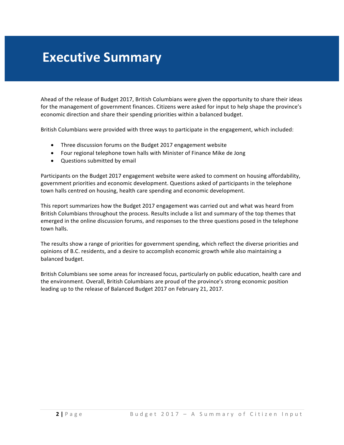## **Executive Summary**

Ahead of the release of Budget 2017, British Columbians were given the opportunity to share their ideas for the management of government finances. Citizens were asked for input to help shape the province's economic direction and share their spending priorities within a balanced budget.

British Columbians were provided with three ways to participate in the engagement, which included:

- Three discussion forums on the Budget 2017 engagement website
- Four regional telephone town halls with Minister of Finance Mike de Jong
- Questions submitted by email

Participants on the Budget 2017 engagement website were asked to comment on housing affordability, government priorities and economic development. Questions asked of participants in the telephone town halls centred on housing, health care spending and economic development.

This report summarizes how the Budget 2017 engagement was carried out and what was heard from British Columbians throughout the process. Results include a list and summary of the top themes that emerged in the online discussion forums, and responses to the three questions posed in the telephone town halls.

The results show a range of priorities for government spending, which reflect the diverse priorities and opinions of B.C. residents, and a desire to accomplish economic growth while also maintaining a balanced budget.

British Columbians see some areas for increased focus, particularly on public education, health care and the environment. Overall, British Columbians are proud of the province's strong economic position leading up to the release of Balanced Budget 2017 on February 21, 2017.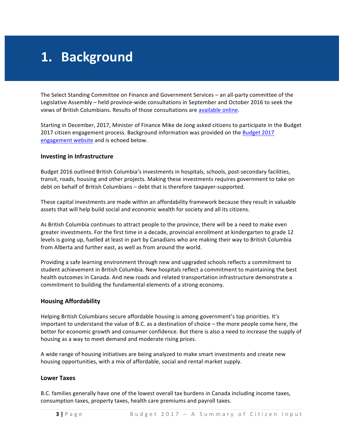# **1. Background**

The Select Standing Committee on Finance and Government Services – an all-party committee of the Legislative Assembly – held province-wide consultations in September and October 2016 to seek the views of British Columbians. Results of those consultations are available online.

Starting in December, 2017, Minister of Finance Mike de Jong asked citizens to participate in the Budget 2017 citizen engagement process. Background information was provided on the Budget 2017 engagement website and is echoed below.

#### **Investing in Infrastructure**

Budget 2016 outlined British Columbia's investments in hospitals, schools, post-secondary facilities, transit, roads, housing and other projects. Making these investments requires government to take on debt on behalf of British Columbians – debt that is therefore taxpayer-supported.

These capital investments are made within an affordability framework because they result in valuable assets that will help build social and economic wealth for society and all its citizens.

As British Columbia continues to attract people to the province, there will be a need to make even greater investments. For the first time in a decade, provincial enrollment at kindergarten to grade 12 levels is going up, fuelled at least in part by Canadians who are making their way to British Columbia from Alberta and further east, as well as from around the world.

Providing a safe learning environment through new and upgraded schools reflects a commitment to student achievement in British Columbia. New hospitals reflect a commitment to maintaining the best health outcomes in Canada. And new roads and related transportation infrastructure demonstrate a commitment to building the fundamental elements of a strong economy.

### **Housing Affordability**

Helping British Columbians secure affordable housing is among government's top priorities. It's important to understand the value of B.C. as a destination of choice  $-$  the more people come here, the better for economic growth and consumer confidence. But there is also a need to increase the supply of housing as a way to meet demand and moderate rising prices.

A wide range of housing initiatives are being analyzed to make smart investments and create new housing opportunities, with a mix of affordable, social and rental market supply.

#### **Lower Taxes**

B.C. families generally have one of the lowest overall tax burdens in Canada including income taxes, consumption taxes, property taxes, health care premiums and payroll taxes.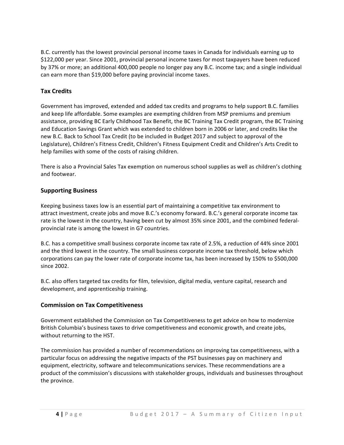B.C. currently has the lowest provincial personal income taxes in Canada for individuals earning up to \$122,000 per year. Since 2001, provincial personal income taxes for most taxpayers have been reduced by 37% or more; an additional 400,000 people no longer pay any B.C. income tax; and a single individual can earn more than \$19,000 before paying provincial income taxes.

## **Tax Credits**

Government has improved, extended and added tax credits and programs to help support B.C. families and keep life affordable. Some examples are exempting children from MSP premiums and premium assistance, providing BC Early Childhood Tax Benefit, the BC Training Tax Credit program, the BC Training and Education Savings Grant which was extended to children born in 2006 or later, and credits like the new B.C. Back to School Tax Credit (to be included in Budget 2017 and subject to approval of the Legislature), Children's Fitness Credit, Children's Fitness Equipment Credit and Children's Arts Credit to help families with some of the costs of raising children.

There is also a Provincial Sales Tax exemption on numerous school supplies as well as children's clothing and footwear.

## **Supporting Business**

Keeping business taxes low is an essential part of maintaining a competitive tax environment to attract investment, create jobs and move B.C.'s economy forward. B.C.'s general corporate income tax rate is the lowest in the country, having been cut by almost 35% since 2001, and the combined federalprovincial rate is among the lowest in G7 countries.

B.C. has a competitive small business corporate income tax rate of 2.5%, a reduction of 44% since 2001 and the third lowest in the country. The small business corporate income tax threshold, below which corporations can pay the lower rate of corporate income tax, has been increased by 150% to \$500,000 since 2002.

B.C. also offers targeted tax credits for film, television, digital media, venture capital, research and development, and apprenticeship training.

### **Commission on Tax Competitiveness**

Government established the Commission on Tax Competitiveness to get advice on how to modernize British Columbia's business taxes to drive competitiveness and economic growth, and create jobs, without returning to the HST.

The commission has provided a number of recommendations on improving tax competitiveness, with a particular focus on addressing the negative impacts of the PST businesses pay on machinery and equipment, electricity, software and telecommunications services. These recommendations are a product of the commission's discussions with stakeholder groups, individuals and businesses throughout the province.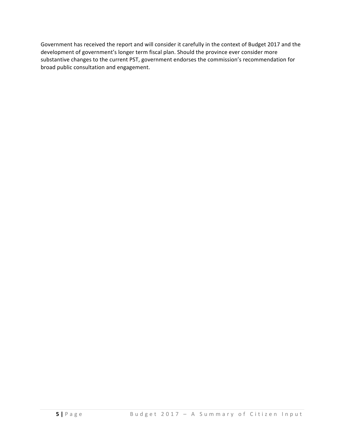Government has received the report and will consider it carefully in the context of Budget 2017 and the development of government's longer term fiscal plan. Should the province ever consider more substantive changes to the current PST, government endorses the commission's recommendation for broad public consultation and engagement.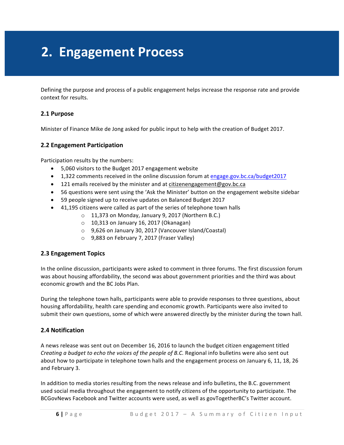## **2. Engagement Process**

Defining the purpose and process of a public engagement helps increase the response rate and provide context for results.

### **2.1 Purpose**

Minister of Finance Mike de Jong asked for public input to help with the creation of Budget 2017.

### **2.2 Engagement Participation**

Participation results by the numbers:

- 5,060 visitors to the Budget 2017 engagement website
- 1,322 comments received in the online discussion forum at engage.gov.bc.ca/budget2017
- 121 emails received by the minister and at citizenengagement@gov.bc.ca
- 56 questions were sent using the 'Ask the Minister' button on the engagement website sidebar
- 59 people signed up to receive updates on Balanced Budget 2017
- 41,195 citizens were called as part of the series of telephone town halls
	- $\circ$  11,373 on Monday, January 9, 2017 (Northern B.C.)
	- $\circ$  10,313 on January 16, 2017 (Okanagan)
	- 9,626 on January 30, 2017 (Vancouver Island/Coastal)
	- o 9,883 on February 7, 2017 (Fraser Valley)

### **2.3 Engagement Topics**

In the online discussion, participants were asked to comment in three forums. The first discussion forum was about housing affordability, the second was about government priorities and the third was about economic growth and the BC Jobs Plan.

During the telephone town halls, participants were able to provide responses to three questions, about housing affordability, health care spending and economic growth. Participants were also invited to submit their own questions, some of which were answered directly by the minister during the town hall.

#### **2.4 Notification**

A news release was sent out on December 16, 2016 to launch the budget citizen engagement titled *Creating a budget to echo the voices of the people of B.C.* Regional info bulletins were also sent out about how to participate in telephone town halls and the engagement process on January 6, 11, 18, 26 and February 3.

In addition to media stories resulting from the news release and info bulletins, the B.C. government used social media throughout the engagement to notify citizens of the opportunity to participate. The BCGovNews Facebook and Twitter accounts were used, as well as govTogetherBC's Twitter account.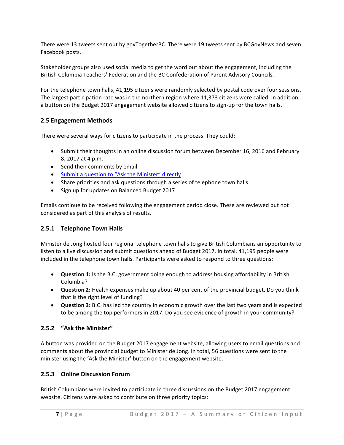There were 13 tweets sent out by govTogetherBC. There were 19 tweets sent by BCGovNews and seven Facebook posts.

Stakeholder groups also used social media to get the word out about the engagement, including the British Columbia Teachers' Federation and the BC Confederation of Parent Advisory Councils.

For the telephone town halls, 41,195 citizens were randomly selected by postal code over four sessions. The largest participation rate was in the northern region where 11,373 citizens were called. In addition, a button on the Budget 2017 engagement website allowed citizens to sign-up for the town halls.

## **2.5 Engagement Methods**

There were several ways for citizens to participate in the process. They could:

- Submit their thoughts in an online discussion forum between December 16, 2016 and February 8, 2017 at 4 p.m.
- Send their comments by email
- Submit a question to "Ask the Minister" directly
- Share priorities and ask questions through a series of telephone town halls
- Sign up for updates on Balanced Budget 2017

Emails continue to be received following the engagement period close. These are reviewed but not considered as part of this analysis of results.

## **2.5.1 Telephone Town Halls**

Minister de Jong hosted four regional telephone town halls to give British Columbians an opportunity to listen to a live discussion and submit questions ahead of Budget 2017. In total, 41,195 people were included in the telephone town halls. Participants were asked to respond to three questions:

- Question 1: Is the B.C. government doing enough to address housing affordability in British Columbia?
- **Question 2:** Health expenses make up about 40 per cent of the provincial budget. Do you think that is the right level of funding?
- **Question 3:** B.C. has led the country in economic growth over the last two years and is expected to be among the top performers in 2017. Do you see evidence of growth in your community?

## **2.5.2 "Ask the Minister"**

A button was provided on the Budget 2017 engagement website, allowing users to email questions and comments about the provincial budget to Minister de Jong. In total, 56 questions were sent to the minister using the 'Ask the Minister' button on the engagement website.

## **2.5.3 Online Discussion Forum**

British Columbians were invited to participate in three discussions on the Budget 2017 engagement website. Citizens were asked to contribute on three priority topics: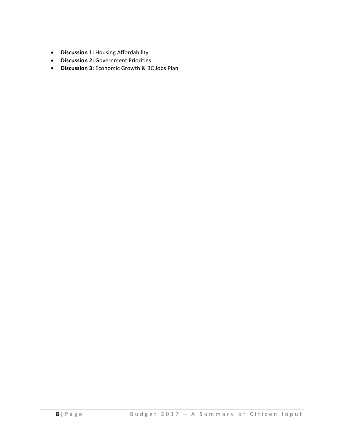- **•** Discussion 1: Housing Affordability
- **•** Discussion 2: Government Priorities
- Discussion 3: Economic Growth & BC Jobs Plan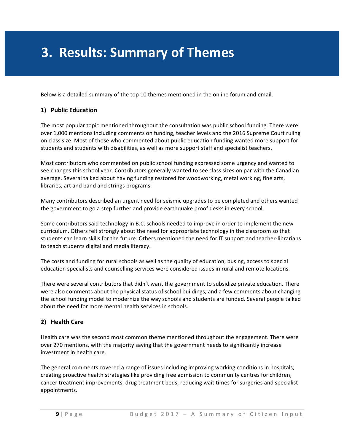## **3. Results: Summary of Themes**

Below is a detailed summary of the top 10 themes mentioned in the online forum and email.

## **1)** Public Education

The most popular topic mentioned throughout the consultation was public school funding. There were over 1,000 mentions including comments on funding, teacher levels and the 2016 Supreme Court ruling on class size. Most of those who commented about public education funding wanted more support for students and students with disabilities, as well as more support staff and specialist teachers.

Most contributors who commented on public school funding expressed some urgency and wanted to see changes this school year. Contributors generally wanted to see class sizes on par with the Canadian average. Several talked about having funding restored for woodworking, metal working, fine arts, libraries, art and band and strings programs.

Many contributors described an urgent need for seismic upgrades to be completed and others wanted the government to go a step further and provide earthquake proof desks in every school.

Some contributors said technology in B.C. schools needed to improve in order to implement the new curriculum. Others felt strongly about the need for appropriate technology in the classroom so that students can learn skills for the future. Others mentioned the need for IT support and teacher-librarians to teach students digital and media literacy.

The costs and funding for rural schools as well as the quality of education, busing, access to special education specialists and counselling services were considered issues in rural and remote locations.

There were several contributors that didn't want the government to subsidize private education. There were also comments about the physical status of school buildings, and a few comments about changing the school funding model to modernize the way schools and students are funded. Several people talked about the need for more mental health services in schools.

### **2) Health Care**

Health care was the second most common theme mentioned throughout the engagement. There were over 270 mentions, with the majority saying that the government needs to significantly increase investment in health care.

The general comments covered a range of issues including improving working conditions in hospitals, creating proactive health strategies like providing free admission to community centres for children, cancer treatment improvements, drug treatment beds, reducing wait times for surgeries and specialist appointments.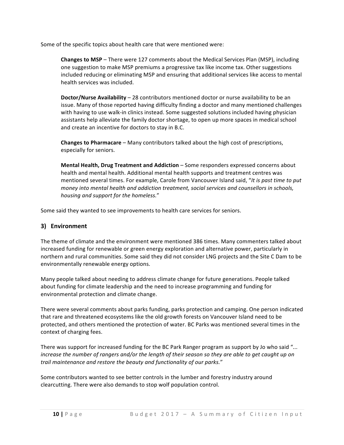Some of the specific topics about health care that were mentioned were:

**Changes to MSP** – There were 127 comments about the Medical Services Plan (MSP), including one suggestion to make MSP premiums a progressive tax like income tax. Other suggestions included reducing or eliminating MSP and ensuring that additional services like access to mental health services was included.

**Doctor/Nurse Availability** – 28 contributors mentioned doctor or nurse availability to be an issue. Many of those reported having difficulty finding a doctor and many mentioned challenges with having to use walk-in clinics instead. Some suggested solutions included having physician assistants help alleviate the family doctor shortage, to open up more spaces in medical school and create an incentive for doctors to stay in B.C.

**Changes to Pharmacare** – Many contributors talked about the high cost of prescriptions, especially for seniors.

**Mental Health, Drug Treatment and Addiction** – Some responders expressed concerns about health and mental health. Additional mental health supports and treatment centres was mentioned several times. For example, Carole from Vancouver Island said, "It is past time to put money into mental health and addiction treatment, social services and counsellors in schools, *housing and support for the homeless.*" 

Some said they wanted to see improvements to health care services for seniors.

## **3) Environment**

The theme of climate and the environment were mentioned 386 times. Many commenters talked about increased funding for renewable or green energy exploration and alternative power, particularly in northern and rural communities. Some said they did not consider LNG projects and the Site C Dam to be environmentally renewable energy options.

Many people talked about needing to address climate change for future generations. People talked about funding for climate leadership and the need to increase programming and funding for environmental protection and climate change.

There were several comments about parks funding, parks protection and camping. One person indicated that rare and threatened ecosystems like the old growth forests on Vancouver Island need to be protected, and others mentioned the protection of water. BC Parks was mentioned several times in the context of charging fees.

There was support for increased funding for the BC Park Ranger program as support by Jo who said "... *increase* the number of rangers and/or the length of their season so they are able to get caught up on trail maintenance and restore the beauty and functionality of our parks."

Some contributors wanted to see better controls in the lumber and forestry industry around clearcutting. There were also demands to stop wolf population control.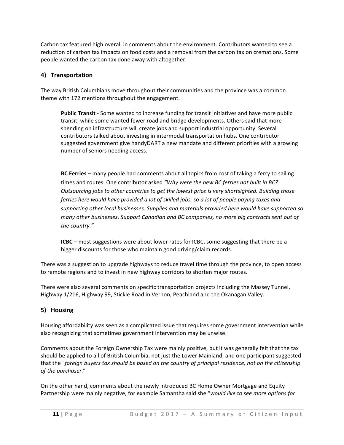Carbon tax featured high overall in comments about the environment. Contributors wanted to see a reduction of carbon tax impacts on food costs and a removal from the carbon tax on cremations. Some people wanted the carbon tax done away with altogether.

## **4) Transportation**

The way British Columbians move throughout their communities and the province was a common theme with 172 mentions throughout the engagement.

**Public Transit** - Some wanted to increase funding for transit initiatives and have more public transit, while some wanted fewer road and bridge developments. Others said that more spending on infrastructure will create jobs and support industrial opportunity. Several contributors talked about investing in intermodal transportation hubs. One contributor suggested government give handyDART a new mandate and different priorities with a growing number of seniors needing access.

**BC Ferries** – many people had comments about all topics from cost of taking a ferry to sailing times and routes. One contributor asked "Why were the new BC ferries not built in BC? *Outsourcing jobs to other countries to get the lowest price is very shortsighted. Building those ferries here would have provided a lot of skilled jobs, so a lot of people paying taxes and* supporting other local businesses. Supplies and materials provided here would have supported so *many* other businesses. Support Canadian and BC companies, no more big contracts sent out of *the country."*

**ICBC** – most suggestions were about lower rates for ICBC, some suggesting that there be a bigger discounts for those who maintain good driving/claim records.

There was a suggestion to upgrade highways to reduce travel time through the province, to open access to remote regions and to invest in new highway corridors to shorten major routes.

There were also several comments on specific transportation projects including the Massey Tunnel, Highway 1/216, Highway 99, Stickle Road in Vernon, Peachland and the Okanagan Valley.

## **5) Housing**

Housing affordability was seen as a complicated issue that requires some government intervention while also recognizing that sometimes government intervention may be unwise.

Comments about the Foreign Ownership Tax were mainly positive, but it was generally felt that the tax should be applied to all of British Columbia, not just the Lower Mainland, and one participant suggested that the "foreign buyers tax should be based on the country of principal residence, not on the citizenship *of the purchaser.*"

On the other hand, comments about the newly introduced BC Home Owner Mortgage and Equity Partnership were mainly negative, for example Samantha said she "would like to see more options for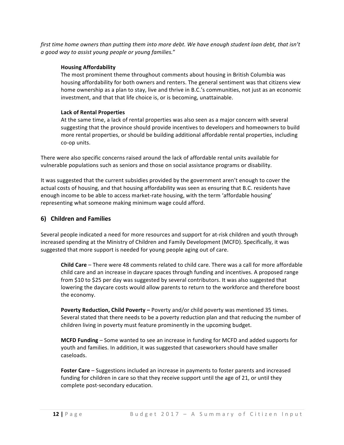*first time home owners than putting them into more debt. We have enough student loan debt, that isn't a good way to assist young people or young families.*"

#### **Housing Affordability**

The most prominent theme throughout comments about housing in British Columbia was housing affordability for both owners and renters. The general sentiment was that citizens view home ownership as a plan to stay, live and thrive in B.C.'s communities, not just as an economic investment, and that that life choice is, or is becoming, unattainable.

#### **Lack of Rental Properties**

At the same time, a lack of rental properties was also seen as a major concern with several suggesting that the province should provide incentives to developers and homeowners to build more rental properties, or should be building additional affordable rental properties, including co-op units.

There were also specific concerns raised around the lack of affordable rental units available for vulnerable populations such as seniors and those on social assistance programs or disability.

It was suggested that the current subsidies provided by the government aren't enough to cover the actual costs of housing, and that housing affordability was seen as ensuring that B.C. residents have enough income to be able to access market-rate housing, with the term 'affordable housing' representing what someone making minimum wage could afford.

### **6) Children and Families**

Several people indicated a need for more resources and support for at-risk children and youth through increased spending at the Ministry of Children and Family Development (MCFD). Specifically, it was suggested that more support is needed for young people aging out of care.

**Child Care** – There were 48 comments related to child care. There was a call for more affordable child care and an increase in daycare spaces through funding and incentives. A proposed range from \$10 to \$25 per day was suggested by several contributors. It was also suggested that lowering the daycare costs would allow parents to return to the workforce and therefore boost the economy.

**Poverty Reduction, Child Poverty –** Poverty and/or child poverty was mentioned 35 times. Several stated that there needs to be a poverty reduction plan and that reducing the number of children living in poverty must feature prominently in the upcoming budget.

**MCFD** Funding – Some wanted to see an increase in funding for MCFD and added supports for youth and families. In addition, it was suggested that caseworkers should have smaller caseloads.

**Foster Care** – Suggestions included an increase in payments to foster parents and increased funding for children in care so that they receive support until the age of 21, or until they complete post-secondary education.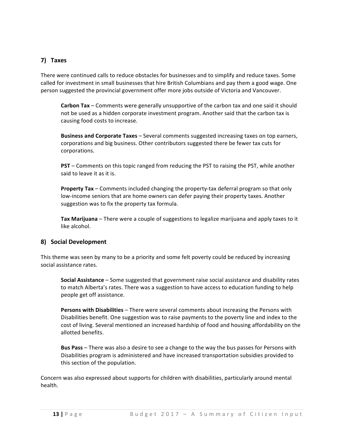## **7) Taxes**

There were continued calls to reduce obstacles for businesses and to simplify and reduce taxes. Some called for investment in small businesses that hire British Columbians and pay them a good wage. One person suggested the provincial government offer more jobs outside of Victoria and Vancouver.

**Carbon Tax** – Comments were generally unsupportive of the carbon tax and one said it should not be used as a hidden corporate investment program. Another said that the carbon tax is causing food costs to increase.

**Business and Corporate Taxes** – Several comments suggested increasing taxes on top earners, corporations and big business. Other contributors suggested there be fewer tax cuts for corporations.

**PST** – Comments on this topic ranged from reducing the PST to raising the PST, while another said to leave it as it is.

**Property Tax** – Comments included changing the property-tax deferral program so that only low-income seniors that are home owners can defer paying their property taxes. Another suggestion was to fix the property tax formula.

Tax Marijuana – There were a couple of suggestions to legalize marijuana and apply taxes to it like alcohol.

### **8) Social Development**

This theme was seen by many to be a priority and some felt poverty could be reduced by increasing social assistance rates.

**Social Assistance** – Some suggested that government raise social assistance and disability rates to match Alberta's rates. There was a suggestion to have access to education funding to help people get off assistance.

**Persons with Disabilities** – There were several comments about increasing the Persons with Disabilities benefit. One suggestion was to raise payments to the poverty line and index to the cost of living. Several mentioned an increased hardship of food and housing affordability on the allotted benefits.

**Bus Pass** – There was also a desire to see a change to the way the bus passes for Persons with Disabilities program is administered and have increased transportation subsidies provided to this section of the population.

Concern was also expressed about supports for children with disabilities, particularly around mental health.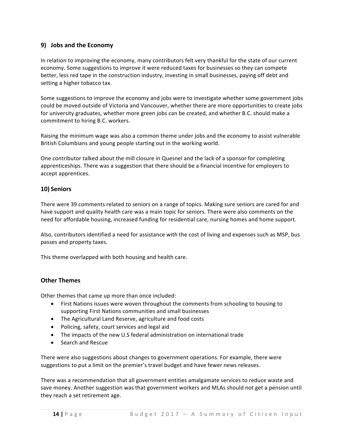## **9) Jobs and the Economy**

In relation to improving the economy, many contributors felt very thankful for the state of our current economy. Some suggestions to improve it were reduced taxes for businesses so they can compete better, less red tape in the construction industry, investing in small businesses, paying off debt and setting a higher tobacco tax.

Some suggestions to improve the economy and jobs were to investigate whether some government jobs could be moved outside of Victoria and Vancouver, whether there are more opportunities to create jobs for university graduates, whether more green jobs can be created, and whether B.C. should make a commitment to hiring B.C. workers.

Raising the minimum wage was also a common theme under jobs and the economy to assist vulnerable British Columbians and young people starting out in the working world.

One contributor talked about the mill closure in Quesnel and the lack of a sponsor for completing apprenticeships. There was a suggestion that there should be a financial incentive for employers to accept apprentices.

## **10) Seniors**

There were 39 comments related to seniors on a range of topics. Making sure seniors are cared for and have support and quality health care was a main topic for seniors. There were also comments on the need for affordable housing, increased funding for residential care, nursing homes and home support.

Also, contributors identified a need for assistance with the cost of living and expenses such as MSP, bus passes and property taxes.

This theme overlapped with both housing and health care.

### **Other Themes**

Other themes that came up more than once included:

- First Nations issues were woven throughout the comments from schooling to housing to supporting First Nations communities and small businesses
- The Agricultural Land Reserve, agriculture and food costs
- Policing, safety, court services and legal aid
- The impacts of the new U.S federal administration on international trade
- Search and Rescue

There were also suggestions about changes to government operations. For example, there were suggestions to put a limit on the premier's travel budget and have fewer news releases.

There was a recommendation that all government entities amalgamate services to reduce waste and save money. Another suggestion was that government workers and MLAs should not get a pension until they reach a set retirement age.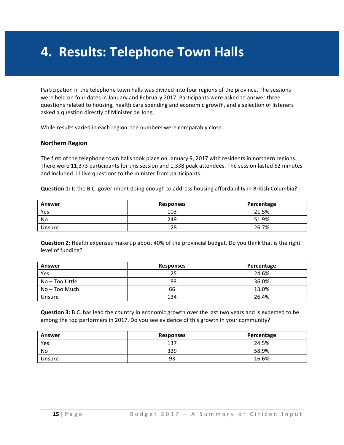## **4. Results: Telephone Town Halls**

Participation in the telephone town halls was divided into four regions of the province. The sessions were held on four dates in January and February 2017. Participants were asked to answer three questions related to housing, health care spending and economic growth, and a selection of listeners asked a question directly of Minister de Jong.

While results varied in each region, the numbers were comparably close.

#### **Northern Region**

The first of the telephone town halls took place on January 9, 2017 with residents in northern regions. There were 11,373 participants for this session and 1,338 peak attendees. The session lasted 62 minutes and included 11 live questions to the minister from participants.

**Question 1:** Is the B.C. government doing enough to address housing affordability in British Columbia?

| Answer | <b>Responses</b> | Percentage |
|--------|------------------|------------|
| Yes    | 103              | 21.5%      |
| No     | 249              | 51.9%      |
| Unsure | 128              | 26.7%      |

**Question 2:** Health expenses make up about 40% of the provincial budget. Do you think that is the right level of funding?

| Answer          | <b>Responses</b> | Percentage |
|-----------------|------------------|------------|
| Yes             | 125              | 24.6%      |
| No – Too Little | 183              | 36.0%      |
| No – Too Much   | 66               | 13.0%      |
| Unsure          | 134              | 26.4%      |

**Question 3:** B.C. has lead the country in economic growth over the last two years and is expected to be among the top performers in 2017. Do you see evidence of this growth in your community?

| <b>Answer</b> | <b>Responses</b> | Percentage |
|---------------|------------------|------------|
| Yes           | 137              | 24.5%      |
| No            | 329              | 58.9%      |
| Unsure        | 93               | 16.6%      |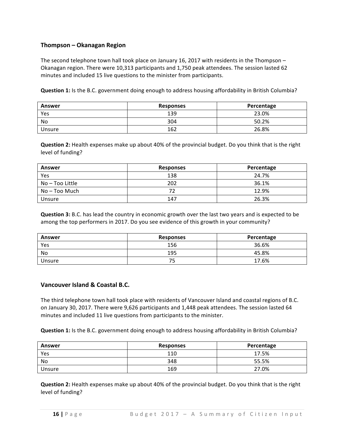## **Thompson – Okanagan Region**

The second telephone town hall took place on January 16, 2017 with residents in the Thompson – Okanagan region. There were 10,313 participants and 1,750 peak attendees. The session lasted 62 minutes and included 15 live questions to the minister from participants.

**Question 1:** Is the B.C. government doing enough to address housing affordability in British Columbia?

| <b>Answer</b> | <b>Responses</b> | Percentage |
|---------------|------------------|------------|
| Yes           | 139              | 23.0%      |
| No            | 304              | 50.2%      |
| Unsure        | 162              | 26.8%      |

**Question 2:** Health expenses make up about 40% of the provincial budget. Do you think that is the right level of funding?

| <b>Answer</b>   | <b>Responses</b> | Percentage |
|-----------------|------------------|------------|
| Yes             | 138              | 24.7%      |
| No – Too Little | 202              | 36.1%      |
| No – Too Much   |                  | 12.9%      |
| Unsure          | 147              | 26.3%      |

**Question 3:** B.C. has lead the country in economic growth over the last two years and is expected to be among the top performers in 2017. Do you see evidence of this growth in your community?

| <b>Answer</b> | <b>Responses</b> | Percentage |
|---------------|------------------|------------|
| Yes           | 156              | 36.6%      |
| No            | 195              | 45.8%      |
| Unsure        | ے                | 17.6%      |

### **Vancouver Island & Coastal B.C.**

The third telephone town hall took place with residents of Vancouver Island and coastal regions of B.C. on January 30, 2017. There were 9,626 participants and 1,448 peak attendees. The session lasted 64 minutes and included 11 live questions from participants to the minister.

**Question 1:** Is the B.C. government doing enough to address housing affordability in British Columbia?

| Answer | <b>Responses</b> | Percentage |
|--------|------------------|------------|
| Yes    | 110              | 17.5%      |
| No     | 348              | 55.5%      |
| Unsure | 169              | 27.0%      |

**Question 2:** Health expenses make up about 40% of the provincial budget. Do you think that is the right level of funding?